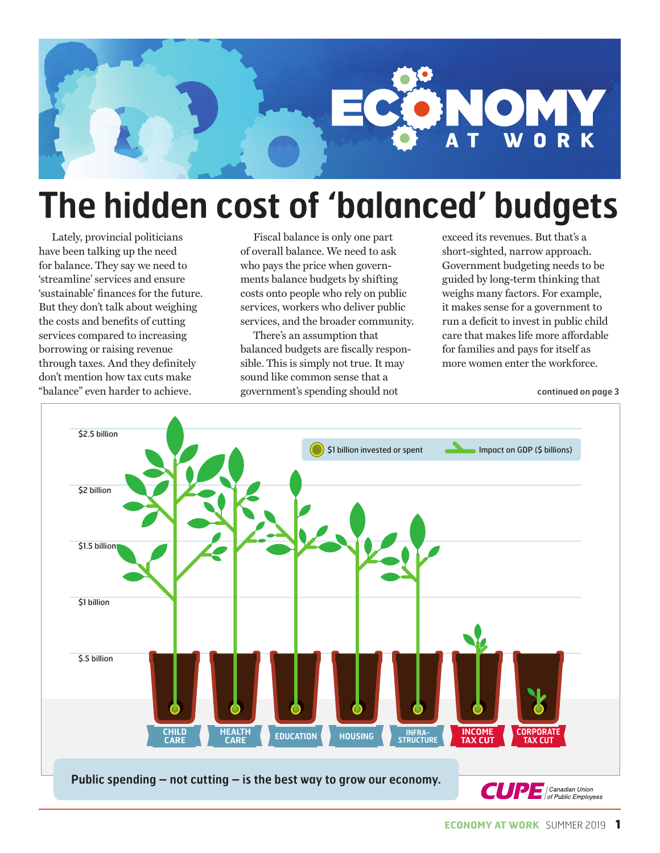

### **The hidden cost of 'balanced' budgets**

Lately, provincial politicians have been talking up the need for balance. They say we need to 'streamline' services and ensure 'sustainable' finances for the future. But they don't talk about weighing the costs and benefits of cutting services compared to increasing borrowing or raising revenue through taxes. And they definitely don't mention how tax cuts make "balance" even harder to achieve.

Fiscal balance is only one part of overall balance. We need to ask who pays the price when governments balance budgets by shifting costs onto people who rely on public services, workers who deliver public services, and the broader community.

There's an assumption that balanced budgets are fiscally responsible. This is simply not true. It may sound like common sense that a government's spending should not

exceed its revenues. But that's a short-sighted, narrow approach. Government budgeting needs to be guided by long-term thinking that weighs many factors. For example, it makes sense for a government to run a deficit to invest in public child care that makes life more affordable for families and pays for itself as more women enter the workforce.

**continued on page 3**

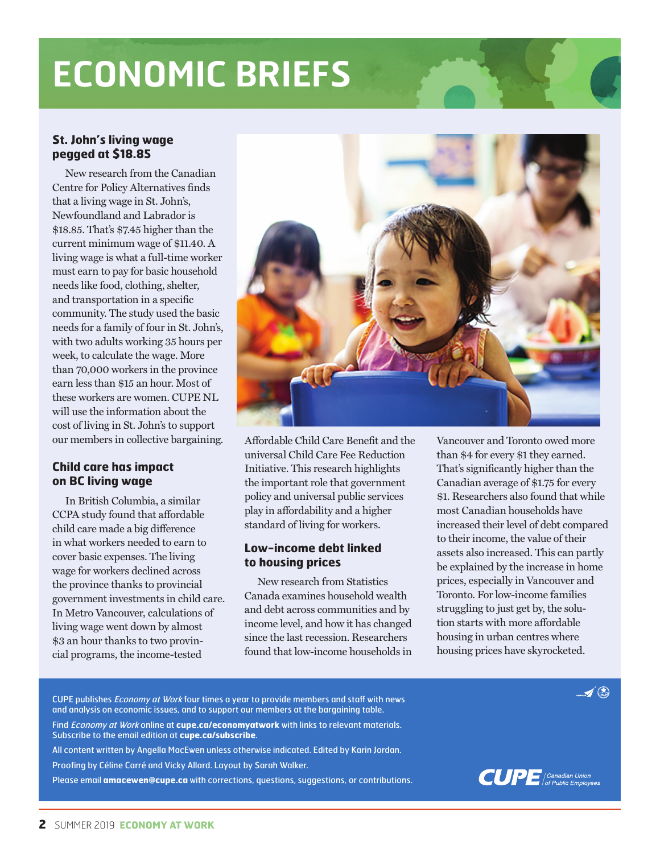## **ECONOMIC BRIEFS**

### **St. John's living wage pegged at \$18.85**

New research from the Canadian Centre for Policy Alternatives finds that a living wage in St. John's, Newfoundland and Labrador is \$18.85. That's \$7.45 higher than the current minimum wage of \$11.40. A living wage is what a full-time worker must earn to pay for basic household needs like food, clothing, shelter, and transportation in a specific community. The study used the basic needs for a family of four in St. John's, with two adults working 35 hours per week, to calculate the wage. More than 70,000 workers in the province earn less than \$15 an hour. Most of these workers are women. CUPE NL will use the information about the cost of living in St. John's to support our members in collective bargaining.

#### **Child care has impact on BC living wage**

In British Columbia, a similar CCPA study found that affordable child care made a big difference in what workers needed to earn to cover basic expenses. The living wage for workers declined across the province thanks to provincial government investments in child care. In Metro Vancouver, calculations of living wage went down by almost \$3 an hour thanks to two provincial programs, the income-tested



Affordable Child Care Benefit and the universal Child Care Fee Reduction Initiative. This research highlights the important role that government policy and universal public services play in affordability and a higher standard of living for workers.

#### **Low-income debt linked to housing prices**

New research from Statistics Canada examines household wealth and debt across communities and by income level, and how it has changed since the last recession. Researchers found that low-income households in

Vancouver and Toronto owed more than \$4 for every \$1 they earned. That's significantly higher than the Canadian average of \$1.75 for every \$1. Researchers also found that while most Canadian households have increased their level of debt compared to their income, the value of their assets also increased. This can partly be explained by the increase in home prices, especially in Vancouver and Toronto. For low-income families struggling to just get by, the solution starts with more affordable housing in urban centres where housing prices have skyrocketed.

CUPE publishes *Economy at Work* four times a year to provide members and staff with news and analysis on economic issues, and to support our members at the bargaining table. Find Economy at Work online at **cupe.ca/economyatwork** with links to relevant materials. Subscribe to the email edition at **cupe.ca/subscribe**. All content written by Angella MacEwen unless otherwise indicated. Edited by Karin Jordan. Proofing by Céline Carré and Vicky Allard. Layout by Sarah Walker.

Please email **amacewen@cupe.ca** with corrections, questions, suggestions, or contributions.



 $\blacktriangleright$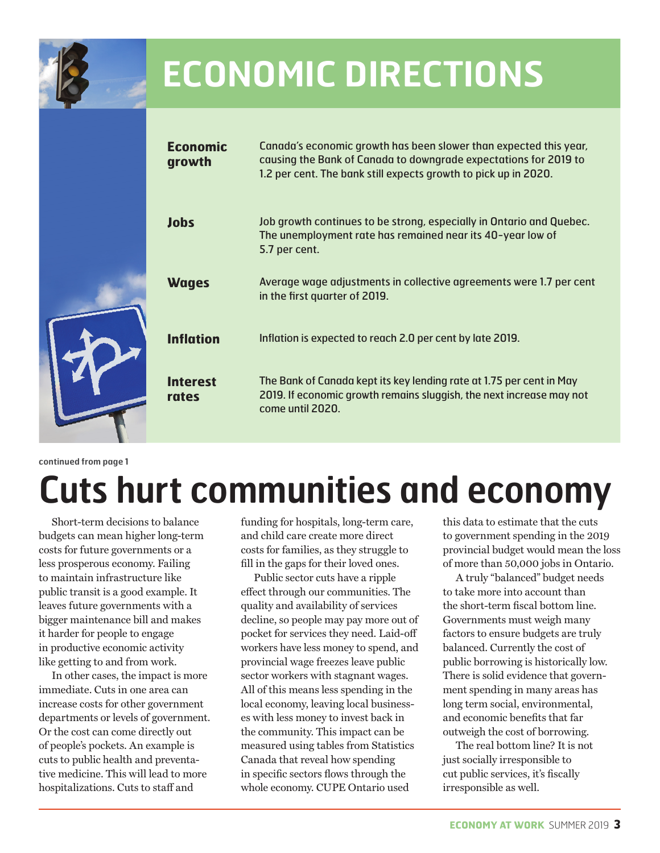

### **ECONOMIC DIRECTIONS**

| <b>Economic</b><br>growth | Canada's economic growth has been slower than expected this year,<br>causing the Bank of Canada to downgrade expectations for 2019 to<br>1.2 per cent. The bank still expects growth to pick up in 2020. |
|---------------------------|----------------------------------------------------------------------------------------------------------------------------------------------------------------------------------------------------------|
| <b>Jobs</b>               | Job growth continues to be strong, especially in Ontario and Quebec.<br>The unemployment rate has remained near its 40-year low of<br>5.7 per cent.                                                      |
| <b>Wages</b>              | Average wage adjustments in collective agreements were 1.7 per cent<br>in the first quarter of 2019.                                                                                                     |
| <b>Inflation</b>          | Inflation is expected to reach 2.0 per cent by late 2019.                                                                                                                                                |
| <b>Interest</b><br>rates  | The Bank of Canada kept its key lending rate at 1.75 per cent in May<br>2019. If economic growth remains sluggish, the next increase may not<br>come until 2020.                                         |

**continued from page 1** 

# **Cuts hurt communities and economy**

Short-term decisions to balance budgets can mean higher long-term costs for future governments or a less prosperous economy. Failing to maintain infrastructure like public transit is a good example. It leaves future governments with a bigger maintenance bill and makes it harder for people to engage in productive economic activity like getting to and from work.

In other cases, the impact is more immediate. Cuts in one area can increase costs for other government departments or levels of government. Or the cost can come directly out of people's pockets. An example is cuts to public health and preventative medicine. This will lead to more hospitalizations. Cuts to staff and

funding for hospitals, long-term care, and child care create more direct costs for families, as they struggle to fill in the gaps for their loved ones.

Public sector cuts have a ripple effect through our communities. The quality and availability of services decline, so people may pay more out of pocket for services they need. Laid-off workers have less money to spend, and provincial wage freezes leave public sector workers with stagnant wages. All of this means less spending in the local economy, leaving local businesses with less money to invest back in the community. This impact can be measured using tables from Statistics Canada that reveal how spending in specific sectors flows through the whole economy. CUPE Ontario used

this data to estimate that the cuts to government spending in the 2019 provincial budget would mean the loss of more than 50,000 jobs in Ontario.

A truly "balanced" budget needs to take more into account than the short-term fiscal bottom line. Governments must weigh many factors to ensure budgets are truly balanced. Currently the cost of public borrowing is historically low. There is solid evidence that government spending in many areas has long term social, environmental, and economic benefits that far outweigh the cost of borrowing.

The real bottom line? It is not just socially irresponsible to cut public services, it's fiscally irresponsible as well.